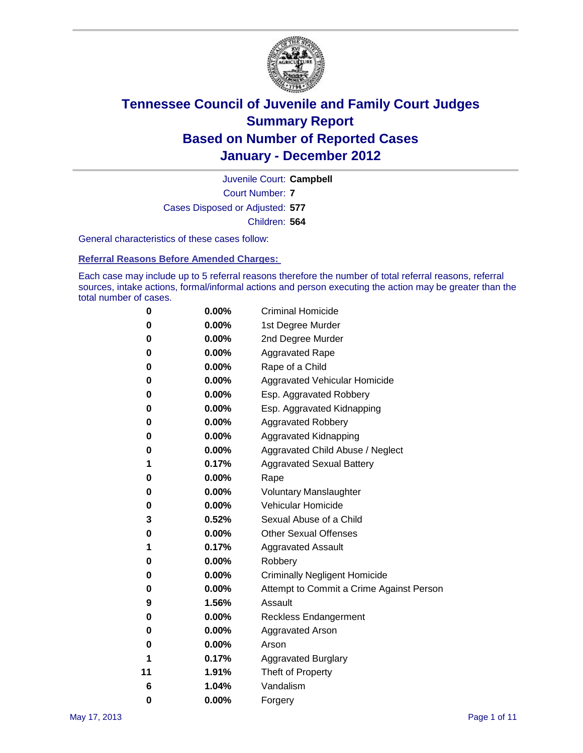

Court Number: **7** Juvenile Court: **Campbell** Cases Disposed or Adjusted: **577** Children: **564**

General characteristics of these cases follow:

**Referral Reasons Before Amended Charges:** 

Each case may include up to 5 referral reasons therefore the number of total referral reasons, referral sources, intake actions, formal/informal actions and person executing the action may be greater than the total number of cases.

| 0  | 0.00%    | <b>Criminal Homicide</b>                 |  |  |  |  |
|----|----------|------------------------------------------|--|--|--|--|
| 0  | 0.00%    | 1st Degree Murder                        |  |  |  |  |
| 0  | 0.00%    | 2nd Degree Murder                        |  |  |  |  |
| 0  | 0.00%    | <b>Aggravated Rape</b>                   |  |  |  |  |
| 0  | 0.00%    | Rape of a Child                          |  |  |  |  |
| 0  | 0.00%    | Aggravated Vehicular Homicide            |  |  |  |  |
| 0  | 0.00%    | Esp. Aggravated Robbery                  |  |  |  |  |
| 0  | 0.00%    | Esp. Aggravated Kidnapping               |  |  |  |  |
| 0  | 0.00%    | <b>Aggravated Robbery</b>                |  |  |  |  |
| 0  | 0.00%    | Aggravated Kidnapping                    |  |  |  |  |
| 0  | 0.00%    | Aggravated Child Abuse / Neglect         |  |  |  |  |
| 1  | 0.17%    | <b>Aggravated Sexual Battery</b>         |  |  |  |  |
| 0  | 0.00%    | Rape                                     |  |  |  |  |
| 0  | $0.00\%$ | <b>Voluntary Manslaughter</b>            |  |  |  |  |
| 0  | 0.00%    | Vehicular Homicide                       |  |  |  |  |
| 3  | 0.52%    | Sexual Abuse of a Child                  |  |  |  |  |
| 0  | 0.00%    | <b>Other Sexual Offenses</b>             |  |  |  |  |
| 1  | 0.17%    | <b>Aggravated Assault</b>                |  |  |  |  |
| 0  | $0.00\%$ | Robbery                                  |  |  |  |  |
| 0  | 0.00%    | <b>Criminally Negligent Homicide</b>     |  |  |  |  |
| 0  | 0.00%    | Attempt to Commit a Crime Against Person |  |  |  |  |
| 9  | 1.56%    | Assault                                  |  |  |  |  |
| 0  | 0.00%    | <b>Reckless Endangerment</b>             |  |  |  |  |
| 0  | 0.00%    | <b>Aggravated Arson</b>                  |  |  |  |  |
| 0  | 0.00%    | Arson                                    |  |  |  |  |
| 1  | 0.17%    | <b>Aggravated Burglary</b>               |  |  |  |  |
| 11 | 1.91%    | Theft of Property                        |  |  |  |  |
| 6  | 1.04%    | Vandalism                                |  |  |  |  |
| 0  | 0.00%    | Forgery                                  |  |  |  |  |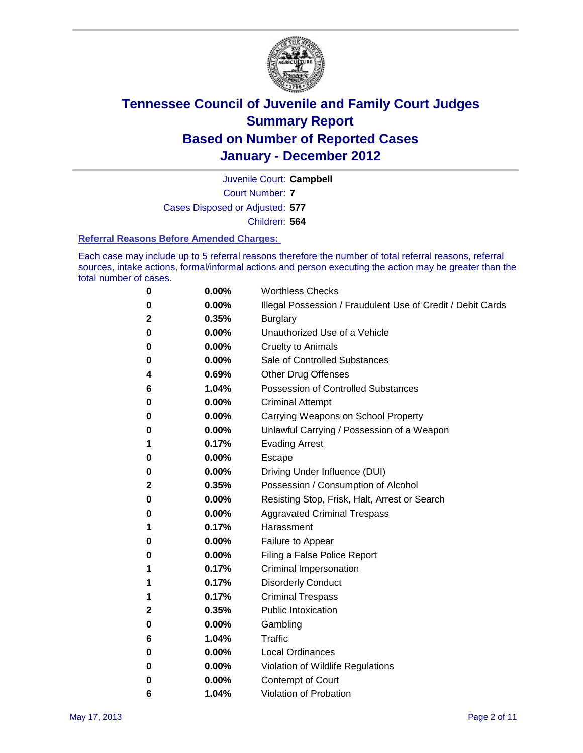

Court Number: **7** Juvenile Court: **Campbell** Cases Disposed or Adjusted: **577** Children: **564**

#### **Referral Reasons Before Amended Charges:**

Each case may include up to 5 referral reasons therefore the number of total referral reasons, referral sources, intake actions, formal/informal actions and person executing the action may be greater than the total number of cases.

| 0           | 0.00%    | <b>Worthless Checks</b>                                     |
|-------------|----------|-------------------------------------------------------------|
| 0           | 0.00%    | Illegal Possession / Fraudulent Use of Credit / Debit Cards |
| $\mathbf 2$ | 0.35%    | <b>Burglary</b>                                             |
| 0           | 0.00%    | Unauthorized Use of a Vehicle                               |
| 0           | $0.00\%$ | <b>Cruelty to Animals</b>                                   |
| 0           | 0.00%    | Sale of Controlled Substances                               |
| 4           | 0.69%    | <b>Other Drug Offenses</b>                                  |
| 6           | 1.04%    | Possession of Controlled Substances                         |
| 0           | 0.00%    | <b>Criminal Attempt</b>                                     |
| 0           | 0.00%    | Carrying Weapons on School Property                         |
| 0           | 0.00%    | Unlawful Carrying / Possession of a Weapon                  |
| 1           | 0.17%    | <b>Evading Arrest</b>                                       |
| 0           | 0.00%    | Escape                                                      |
| 0           | 0.00%    | Driving Under Influence (DUI)                               |
| 2           | 0.35%    | Possession / Consumption of Alcohol                         |
| 0           | 0.00%    | Resisting Stop, Frisk, Halt, Arrest or Search               |
| 0           | 0.00%    | <b>Aggravated Criminal Trespass</b>                         |
| 1           | 0.17%    | Harassment                                                  |
| 0           | 0.00%    | Failure to Appear                                           |
| 0           | 0.00%    | Filing a False Police Report                                |
| 1           | 0.17%    | Criminal Impersonation                                      |
| 1           | 0.17%    | <b>Disorderly Conduct</b>                                   |
| 1           | 0.17%    | <b>Criminal Trespass</b>                                    |
| 2           | 0.35%    | <b>Public Intoxication</b>                                  |
| 0           | 0.00%    | Gambling                                                    |
| 6           | 1.04%    | Traffic                                                     |
| 0           | 0.00%    | <b>Local Ordinances</b>                                     |
| 0           | 0.00%    | Violation of Wildlife Regulations                           |
| 0           | 0.00%    | Contempt of Court                                           |
| 6           | 1.04%    | Violation of Probation                                      |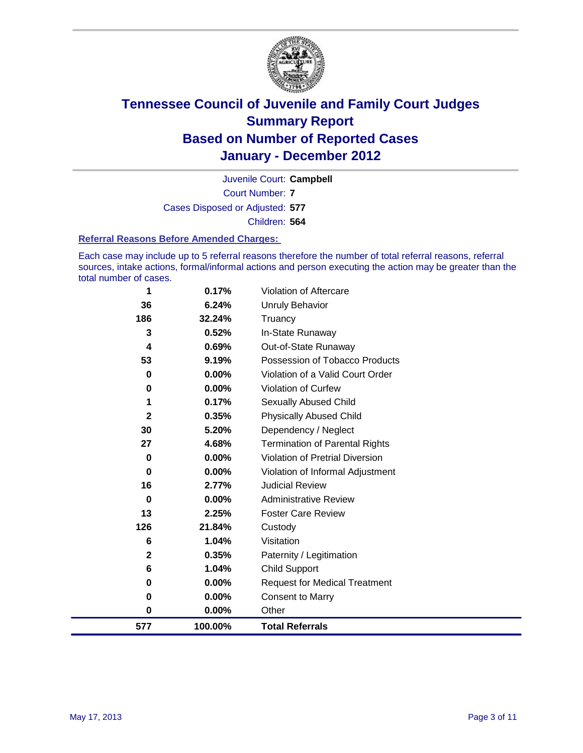

Court Number: **7** Juvenile Court: **Campbell** Cases Disposed or Adjusted: **577** Children: **564**

#### **Referral Reasons Before Amended Charges:**

Each case may include up to 5 referral reasons therefore the number of total referral reasons, referral sources, intake actions, formal/informal actions and person executing the action may be greater than the total number of cases.

| 577          | 100.00%  | <b>Total Referrals</b>                 |
|--------------|----------|----------------------------------------|
| 0            | 0.00%    | Other                                  |
| 0            | 0.00%    | <b>Consent to Marry</b>                |
| 0            | 0.00%    | <b>Request for Medical Treatment</b>   |
| 6            | 1.04%    | <b>Child Support</b>                   |
| $\mathbf 2$  | 0.35%    | Paternity / Legitimation               |
| 6            | 1.04%    | Visitation                             |
| 126          | 21.84%   | Custody                                |
| 13           | 2.25%    | <b>Foster Care Review</b>              |
| 0            | 0.00%    | <b>Administrative Review</b>           |
| 16           | 2.77%    | <b>Judicial Review</b>                 |
| $\mathbf 0$  | 0.00%    | Violation of Informal Adjustment       |
| $\mathbf 0$  | 0.00%    | <b>Violation of Pretrial Diversion</b> |
| 27           | 4.68%    | Termination of Parental Rights         |
| 30           | 5.20%    | Dependency / Neglect                   |
| $\mathbf{2}$ | 0.35%    | <b>Physically Abused Child</b>         |
| 1            | 0.17%    | <b>Sexually Abused Child</b>           |
| 0            | $0.00\%$ | Violation of Curfew                    |
| $\bf{0}$     | $0.00\%$ | Violation of a Valid Court Order       |
| 53           | 9.19%    | Possession of Tobacco Products         |
| 4            | 0.69%    | Out-of-State Runaway                   |
| 3            | 0.52%    | In-State Runaway                       |
| 186          | 32.24%   | Unruly Behavior<br>Truancy             |
| 36           | 6.24%    |                                        |
| 1            | 0.17%    | Violation of Aftercare                 |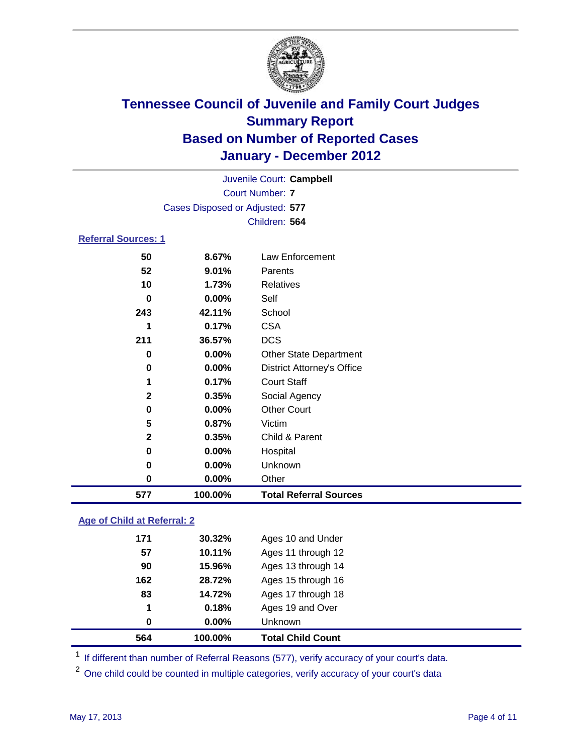

|                            |                                 | Juvenile Court: Campbell          |  |
|----------------------------|---------------------------------|-----------------------------------|--|
|                            | <b>Court Number: 7</b>          |                                   |  |
|                            | Cases Disposed or Adjusted: 577 |                                   |  |
|                            |                                 | Children: 564                     |  |
| <b>Referral Sources: 1</b> |                                 |                                   |  |
| 50                         | 8.67%                           | <b>Law Enforcement</b>            |  |
| 52                         | 9.01%                           | Parents                           |  |
| 10                         | 1.73%                           | Relatives                         |  |
| 0                          | $0.00\%$                        | Self                              |  |
| 243                        | 42.11%                          | School                            |  |
| 1                          | 0.17%                           | <b>CSA</b>                        |  |
| 211                        | 36.57%                          | <b>DCS</b>                        |  |
| 0                          | 0.00%                           | <b>Other State Department</b>     |  |
| 0                          | 0.00%                           | <b>District Attorney's Office</b> |  |
| 1                          | 0.17%                           | <b>Court Staff</b>                |  |
| $\mathbf{2}$               | 0.35%                           | Social Agency                     |  |
| 0                          | 0.00%                           | <b>Other Court</b>                |  |
| 5                          | 0.87%                           | Victim                            |  |
| 2                          | 0.35%                           | Child & Parent                    |  |
| 0                          | 0.00%                           | Hospital                          |  |
| 0                          | 0.00%                           | Unknown                           |  |
| 0                          | 0.00%                           | Other                             |  |
| 577                        | 100.00%                         | <b>Total Referral Sources</b>     |  |
|                            |                                 |                                   |  |

### **Age of Child at Referral: 2**

| 564 | 100.00%  | <b>Total Child Count</b> |  |
|-----|----------|--------------------------|--|
| 0   | $0.00\%$ | <b>Unknown</b>           |  |
| 1   | 0.18%    | Ages 19 and Over         |  |
| 83  | 14.72%   | Ages 17 through 18       |  |
| 162 | 28.72%   | Ages 15 through 16       |  |
| 90  | 15.96%   | Ages 13 through 14       |  |
| 57  | 10.11%   | Ages 11 through 12       |  |
| 171 | 30.32%   | Ages 10 and Under        |  |
|     |          |                          |  |

<sup>1</sup> If different than number of Referral Reasons (577), verify accuracy of your court's data.

<sup>2</sup> One child could be counted in multiple categories, verify accuracy of your court's data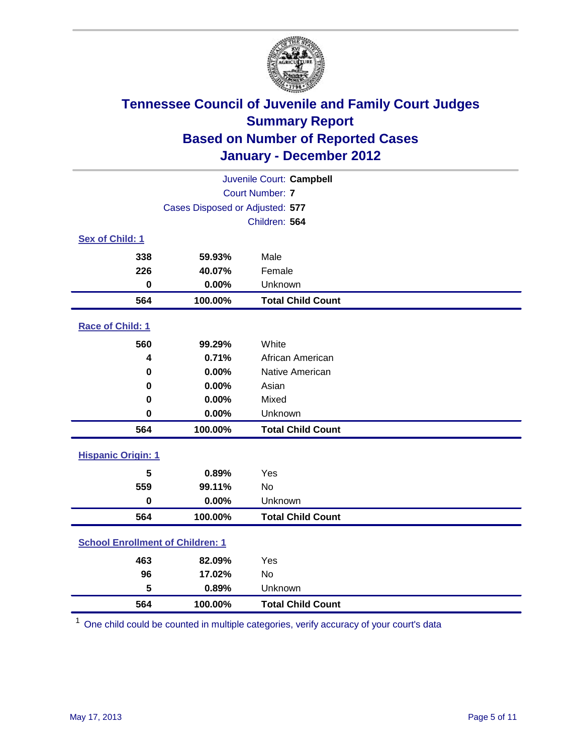

| Juvenile Court: Campbell                |                                 |                          |  |  |  |
|-----------------------------------------|---------------------------------|--------------------------|--|--|--|
| <b>Court Number: 7</b>                  |                                 |                          |  |  |  |
|                                         | Cases Disposed or Adjusted: 577 |                          |  |  |  |
|                                         |                                 | Children: 564            |  |  |  |
| Sex of Child: 1                         |                                 |                          |  |  |  |
| 338                                     | 59.93%                          | Male                     |  |  |  |
| 226                                     | 40.07%                          | Female                   |  |  |  |
| $\mathbf 0$                             | 0.00%                           | Unknown                  |  |  |  |
| 564                                     | 100.00%                         | <b>Total Child Count</b> |  |  |  |
| Race of Child: 1                        |                                 |                          |  |  |  |
| 560                                     | 99.29%                          | White                    |  |  |  |
| 4                                       | 0.71%                           | African American         |  |  |  |
| 0                                       | 0.00%                           | Native American          |  |  |  |
| 0                                       | 0.00%                           | Asian                    |  |  |  |
| 0                                       | 0.00%                           | Mixed                    |  |  |  |
| $\mathbf 0$                             | 0.00%                           | Unknown                  |  |  |  |
| 564                                     | 100.00%                         | <b>Total Child Count</b> |  |  |  |
| <b>Hispanic Origin: 1</b>               |                                 |                          |  |  |  |
| 5                                       | 0.89%                           | Yes                      |  |  |  |
| 559                                     | 99.11%                          | No                       |  |  |  |
| $\mathbf 0$                             | 0.00%                           | Unknown                  |  |  |  |
| 564                                     | 100.00%                         | <b>Total Child Count</b> |  |  |  |
| <b>School Enrollment of Children: 1</b> |                                 |                          |  |  |  |
| 463                                     | 82.09%                          | Yes                      |  |  |  |
| 96                                      | 17.02%                          | No                       |  |  |  |
| 5                                       | 0.89%                           | Unknown                  |  |  |  |
| 564                                     | 100.00%                         | <b>Total Child Count</b> |  |  |  |

One child could be counted in multiple categories, verify accuracy of your court's data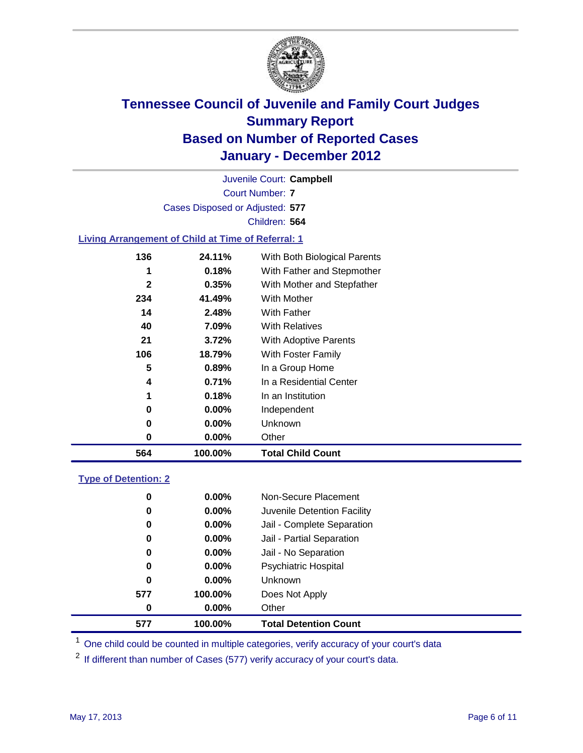

Court Number: **7** Juvenile Court: **Campbell** Cases Disposed or Adjusted: **577** Children: **564**

### **Living Arrangement of Child at Time of Referral: 1**

| 564          | 100.00% | <b>Total Child Count</b>     |
|--------------|---------|------------------------------|
| 0            | 0.00%   | Other                        |
| 0            | 0.00%   | <b>Unknown</b>               |
| 0            | 0.00%   | Independent                  |
| 1            | 0.18%   | In an Institution            |
| 4            | 0.71%   | In a Residential Center      |
| 5            | 0.89%   | In a Group Home              |
| 106          | 18.79%  | With Foster Family           |
| 21           | 3.72%   | With Adoptive Parents        |
| 40           | 7.09%   | <b>With Relatives</b>        |
| 14           | 2.48%   | <b>With Father</b>           |
| 234          | 41.49%  | With Mother                  |
| $\mathbf{2}$ | 0.35%   | With Mother and Stepfather   |
| 1            | 0.18%   | With Father and Stepmother   |
| 136          | 24.11%  | With Both Biological Parents |
|              |         |                              |

#### **Type of Detention: 2**

| 577      | 100.00%  | <b>Total Detention Count</b> |  |
|----------|----------|------------------------------|--|
| 0        | $0.00\%$ | Other                        |  |
| 577      | 100.00%  | Does Not Apply               |  |
| 0        | $0.00\%$ | Unknown                      |  |
| 0        | 0.00%    | <b>Psychiatric Hospital</b>  |  |
| $\bf{0}$ | 0.00%    | Jail - No Separation         |  |
| 0        | $0.00\%$ | Jail - Partial Separation    |  |
| 0        | $0.00\%$ | Jail - Complete Separation   |  |
| 0        | 0.00%    | Juvenile Detention Facility  |  |
| 0        | $0.00\%$ | Non-Secure Placement         |  |
|          |          |                              |  |

<sup>1</sup> One child could be counted in multiple categories, verify accuracy of your court's data

<sup>2</sup> If different than number of Cases (577) verify accuracy of your court's data.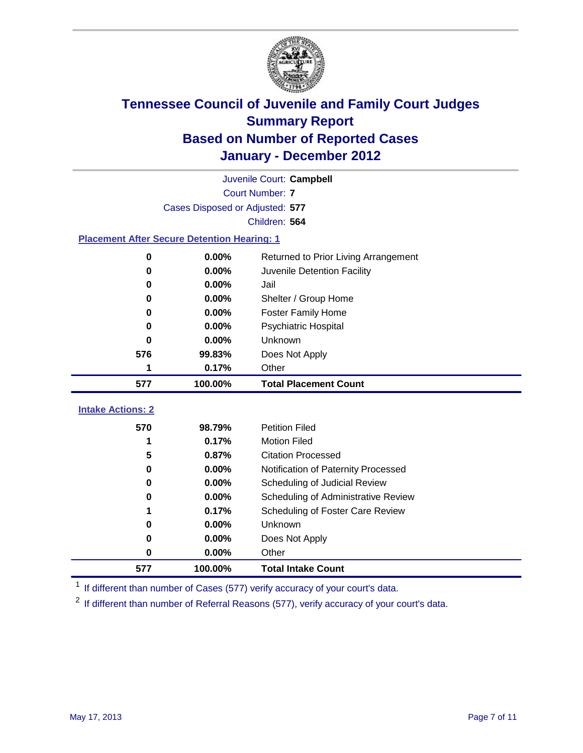

|                                                    | Juvenile Court: Campbell        |                                      |  |  |  |
|----------------------------------------------------|---------------------------------|--------------------------------------|--|--|--|
|                                                    | <b>Court Number: 7</b>          |                                      |  |  |  |
|                                                    | Cases Disposed or Adjusted: 577 |                                      |  |  |  |
|                                                    |                                 | Children: 564                        |  |  |  |
| <b>Placement After Secure Detention Hearing: 1</b> |                                 |                                      |  |  |  |
| 0                                                  | 0.00%                           | Returned to Prior Living Arrangement |  |  |  |
| $\bf{0}$                                           | 0.00%                           | Juvenile Detention Facility          |  |  |  |
| 0                                                  | 0.00%                           | Jail                                 |  |  |  |
| $\bf{0}$                                           | 0.00%                           | Shelter / Group Home                 |  |  |  |
| 0                                                  | 0.00%                           | <b>Foster Family Home</b>            |  |  |  |
| 0                                                  | 0.00%                           | <b>Psychiatric Hospital</b>          |  |  |  |
| 0                                                  | 0.00%                           | Unknown                              |  |  |  |
| 576                                                | 99.83%                          | Does Not Apply                       |  |  |  |
| 1                                                  | 0.17%                           | Other                                |  |  |  |
| 577                                                | 100.00%                         | <b>Total Placement Count</b>         |  |  |  |
| <b>Intake Actions: 2</b>                           |                                 |                                      |  |  |  |
|                                                    |                                 |                                      |  |  |  |
| 570                                                | 98.79%                          | <b>Petition Filed</b>                |  |  |  |
| 1                                                  | 0.17%                           | <b>Motion Filed</b>                  |  |  |  |
| 5                                                  | 0.87%                           | <b>Citation Processed</b>            |  |  |  |
| $\bf{0}$                                           | 0.00%                           | Notification of Paternity Processed  |  |  |  |
| 0                                                  | 0.00%                           | Scheduling of Judicial Review        |  |  |  |
| 0                                                  | 0.00%                           | Scheduling of Administrative Review  |  |  |  |
|                                                    | 0.17%                           | Scheduling of Foster Care Review     |  |  |  |
| 0                                                  | 0.00%                           | Unknown                              |  |  |  |
| 0                                                  | 0.00%                           | Does Not Apply                       |  |  |  |
| $\pmb{0}$                                          | 0.00%                           | Other                                |  |  |  |
| 577                                                | 100.00%                         | <b>Total Intake Count</b>            |  |  |  |

<sup>1</sup> If different than number of Cases (577) verify accuracy of your court's data.

<sup>2</sup> If different than number of Referral Reasons (577), verify accuracy of your court's data.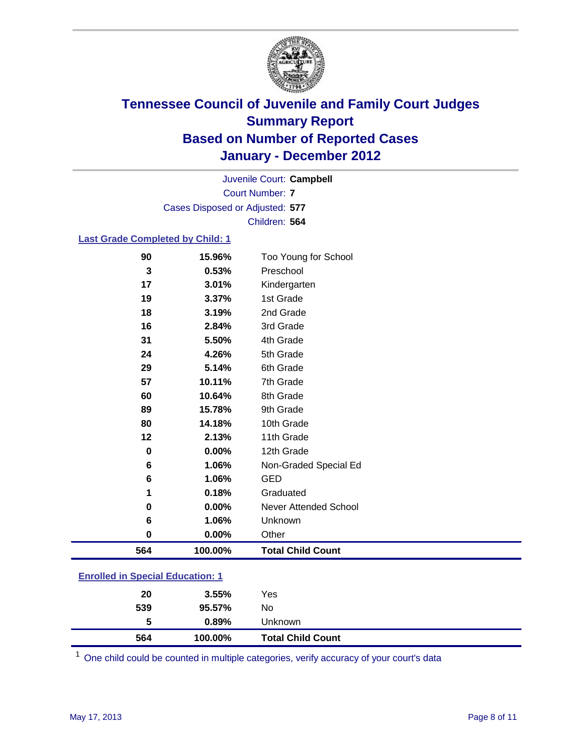

Court Number: **7** Juvenile Court: **Campbell** Cases Disposed or Adjusted: **577** Children: **564**

### **Last Grade Completed by Child: 1**

| 18  | 3.19%   | 2nd Grade                    |  |
|-----|---------|------------------------------|--|
| 16  | 2.84%   | 3rd Grade                    |  |
| 31  | 5.50%   | 4th Grade                    |  |
| 24  | 4.26%   | 5th Grade                    |  |
| 29  | 5.14%   | 6th Grade                    |  |
| 57  | 10.11%  | 7th Grade                    |  |
| 60  | 10.64%  | 8th Grade                    |  |
| 89  | 15.78%  | 9th Grade                    |  |
| 80  | 14.18%  | 10th Grade                   |  |
| 12  | 2.13%   | 11th Grade                   |  |
| 0   | 0.00%   | 12th Grade                   |  |
| 6   | 1.06%   | Non-Graded Special Ed        |  |
| 6   | 1.06%   | <b>GED</b>                   |  |
| 1   | 0.18%   | Graduated                    |  |
| 0   | 0.00%   | <b>Never Attended School</b> |  |
| 6   | 1.06%   | Unknown                      |  |
| 0   | 0.00%   | Other                        |  |
| 564 | 100.00% | <b>Total Child Count</b>     |  |

| 564                                     | 100.00%  | <b>Total Child Count</b> |  |
|-----------------------------------------|----------|--------------------------|--|
| 5                                       | $0.89\%$ | Unknown                  |  |
| 539                                     | 95.57%   | No                       |  |
| 20                                      | $3.55\%$ | Yes                      |  |
| <b>Enrolled in Special Education: 1</b> |          |                          |  |

One child could be counted in multiple categories, verify accuracy of your court's data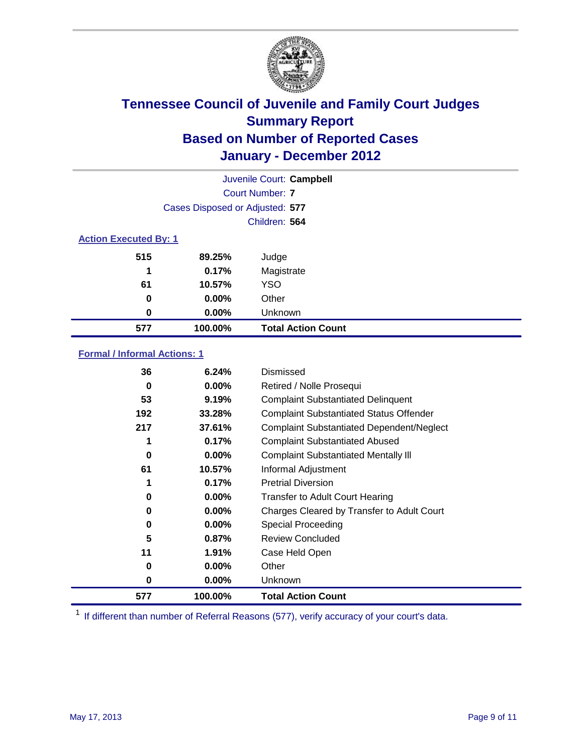

| Juvenile Court: Campbell     |                                 |                           |  |  |
|------------------------------|---------------------------------|---------------------------|--|--|
|                              | <b>Court Number: 7</b>          |                           |  |  |
|                              | Cases Disposed or Adjusted: 577 |                           |  |  |
|                              | Children: 564                   |                           |  |  |
| <b>Action Executed By: 1</b> |                                 |                           |  |  |
| 515                          | 89.25%                          | Judge                     |  |  |
| 1                            | 0.17%                           | Magistrate                |  |  |
| 61                           | 10.57%                          | <b>YSO</b>                |  |  |
| 0                            | $0.00\%$                        | Other                     |  |  |
| 0                            | $0.00\%$                        | Unknown                   |  |  |
| 577                          | 100.00%                         | <b>Total Action Count</b> |  |  |

### **Formal / Informal Actions: 1**

| 36  | 6.24%    | Dismissed                                        |
|-----|----------|--------------------------------------------------|
| 0   | $0.00\%$ | Retired / Nolle Prosequi                         |
| 53  | 9.19%    | <b>Complaint Substantiated Delinquent</b>        |
| 192 | 33.28%   | <b>Complaint Substantiated Status Offender</b>   |
| 217 | 37.61%   | <b>Complaint Substantiated Dependent/Neglect</b> |
|     | 0.17%    | <b>Complaint Substantiated Abused</b>            |
| 0   | $0.00\%$ | <b>Complaint Substantiated Mentally III</b>      |
| 61  | 10.57%   | Informal Adjustment                              |
|     | 0.17%    | <b>Pretrial Diversion</b>                        |
| 0   | $0.00\%$ | <b>Transfer to Adult Court Hearing</b>           |
| 0   | 0.00%    | Charges Cleared by Transfer to Adult Court       |
| 0   | $0.00\%$ | Special Proceeding                               |
| 5   | 0.87%    | <b>Review Concluded</b>                          |
| 11  | 1.91%    | Case Held Open                                   |
| 0   | $0.00\%$ | Other                                            |
| 0   | $0.00\%$ | <b>Unknown</b>                                   |
| 577 | 100.00%  | <b>Total Action Count</b>                        |

<sup>1</sup> If different than number of Referral Reasons (577), verify accuracy of your court's data.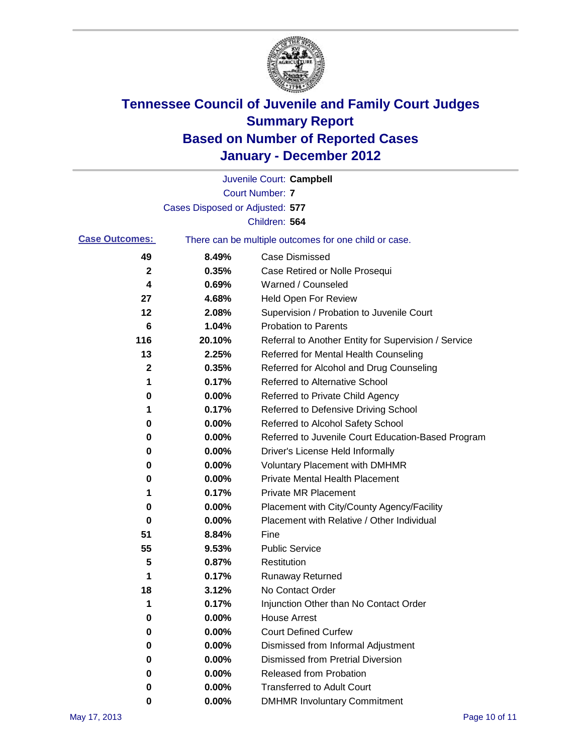

|                       |                                 | Juvenile Court: Campbell                              |
|-----------------------|---------------------------------|-------------------------------------------------------|
|                       |                                 | <b>Court Number: 7</b>                                |
|                       | Cases Disposed or Adjusted: 577 |                                                       |
|                       |                                 | Children: 564                                         |
| <b>Case Outcomes:</b> |                                 | There can be multiple outcomes for one child or case. |
| 49                    | 8.49%                           | <b>Case Dismissed</b>                                 |
| $\mathbf{2}$          | 0.35%                           | Case Retired or Nolle Prosequi                        |
| 4                     | 0.69%                           | Warned / Counseled                                    |
| 27                    | 4.68%                           | Held Open For Review                                  |
| 12                    | 2.08%                           | Supervision / Probation to Juvenile Court             |
| 6                     | 1.04%                           | <b>Probation to Parents</b>                           |
| 116                   | 20.10%                          | Referral to Another Entity for Supervision / Service  |
| 13                    | 2.25%                           | Referred for Mental Health Counseling                 |
| 2                     | 0.35%                           | Referred for Alcohol and Drug Counseling              |
| 1                     | 0.17%                           | <b>Referred to Alternative School</b>                 |
| 0                     | 0.00%                           | Referred to Private Child Agency                      |
| 1                     | 0.17%                           | Referred to Defensive Driving School                  |
| 0                     | 0.00%                           | Referred to Alcohol Safety School                     |
| 0                     | 0.00%                           | Referred to Juvenile Court Education-Based Program    |
| 0                     | 0.00%                           | Driver's License Held Informally                      |
| 0                     | 0.00%                           | <b>Voluntary Placement with DMHMR</b>                 |
| 0                     | 0.00%                           | Private Mental Health Placement                       |
| 1                     | 0.17%                           | <b>Private MR Placement</b>                           |
| 0                     | 0.00%                           | Placement with City/County Agency/Facility            |
| 0                     | 0.00%                           | Placement with Relative / Other Individual            |
| 51                    | 8.84%                           | Fine                                                  |
| 55                    | 9.53%                           | <b>Public Service</b>                                 |
| 5                     | 0.87%                           | Restitution                                           |
| 1                     | 0.17%                           | <b>Runaway Returned</b>                               |
| 18                    | 3.12%                           | No Contact Order                                      |
| 1                     | 0.17%                           | Injunction Other than No Contact Order                |
| 0                     | 0.00%                           | <b>House Arrest</b>                                   |
| 0                     | 0.00%                           | <b>Court Defined Curfew</b>                           |
| 0                     | $0.00\%$                        | Dismissed from Informal Adjustment                    |
| 0                     | $0.00\%$                        | <b>Dismissed from Pretrial Diversion</b>              |
| 0                     | 0.00%                           | <b>Released from Probation</b>                        |
| 0                     | 0.00%                           | <b>Transferred to Adult Court</b>                     |
| 0                     | $0.00\%$                        | <b>DMHMR Involuntary Commitment</b>                   |